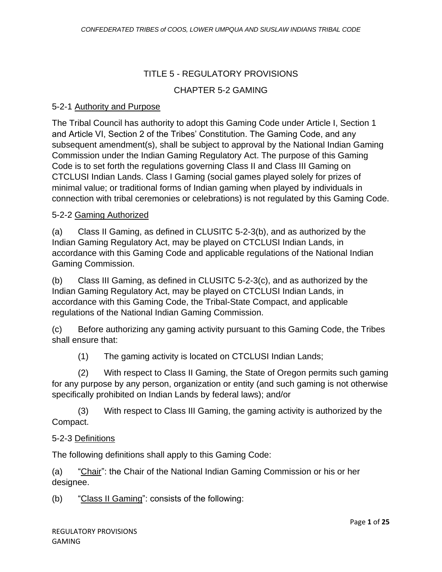## TITLE 5 - REGULATORY PROVISIONS

### CHAPTER 5-2 GAMING

### 5-2-1 Authority and Purpose

The Tribal Council has authority to adopt this Gaming Code under Article I, Section 1 and Article VI, Section 2 of the Tribes' Constitution. The Gaming Code, and any subsequent amendment(s), shall be subject to approval by the National Indian Gaming Commission under the Indian Gaming Regulatory Act. The purpose of this Gaming Code is to set forth the regulations governing Class II and Class III Gaming on CTCLUSI Indian Lands. Class I Gaming (social games played solely for prizes of minimal value; or traditional forms of Indian gaming when played by individuals in connection with tribal ceremonies or celebrations) is not regulated by this Gaming Code.

### 5-2-2 Gaming Authorized

(a) Class II Gaming, as defined in CLUSITC 5-2-3(b), and as authorized by the Indian Gaming Regulatory Act, may be played on CTCLUSI Indian Lands, in accordance with this Gaming Code and applicable regulations of the National Indian Gaming Commission.

(b) Class III Gaming, as defined in CLUSITC 5-2-3(c), and as authorized by the Indian Gaming Regulatory Act, may be played on CTCLUSI Indian Lands, in accordance with this Gaming Code, the Tribal-State Compact, and applicable regulations of the National Indian Gaming Commission.

(c) Before authorizing any gaming activity pursuant to this Gaming Code, the Tribes shall ensure that:

(1) The gaming activity is located on CTCLUSI Indian Lands;

(2) With respect to Class II Gaming, the State of Oregon permits such gaming for any purpose by any person, organization or entity (and such gaming is not otherwise specifically prohibited on Indian Lands by federal laws); and/or

(3) With respect to Class III Gaming, the gaming activity is authorized by the Compact.

#### 5-2-3 Definitions

The following definitions shall apply to this Gaming Code:

(a) "Chair": the Chair of the National Indian Gaming Commission or his or her designee.

(b) "Class II Gaming": consists of the following: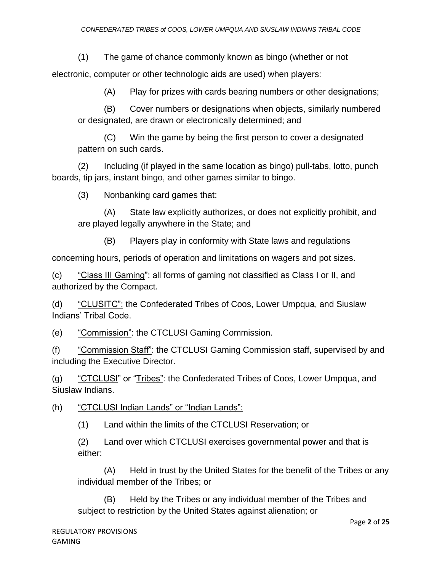(1) The game of chance commonly known as bingo (whether or not

electronic, computer or other technologic aids are used) when players:

(A) Play for prizes with cards bearing numbers or other designations;

(B) Cover numbers or designations when objects, similarly numbered or designated, are drawn or electronically determined; and

(C) Win the game by being the first person to cover a designated pattern on such cards.

(2) Including (if played in the same location as bingo) pull-tabs, lotto, punch boards, tip jars, instant bingo, and other games similar to bingo.

(3) Nonbanking card games that:

(A) State law explicitly authorizes, or does not explicitly prohibit, and are played legally anywhere in the State; and

(B) Players play in conformity with State laws and regulations

concerning hours, periods of operation and limitations on wagers and pot sizes.

(c) "Class III Gaming": all forms of gaming not classified as Class I or II, and authorized by the Compact.

(d) "CLUSITC": the Confederated Tribes of Coos, Lower Umpqua, and Siuslaw Indians' Tribal Code.

(e) "Commission": the CTCLUSI Gaming Commission.

(f) "Commission Staff": the CTCLUSI Gaming Commission staff, supervised by and including the Executive Director.

(g) "CTCLUSI" or "Tribes": the Confederated Tribes of Coos, Lower Umpqua, and Siuslaw Indians.

(h) "CTCLUSI Indian Lands" or "Indian Lands":

(1) Land within the limits of the CTCLUSI Reservation; or

(2) Land over which CTCLUSI exercises governmental power and that is either:

(A) Held in trust by the United States for the benefit of the Tribes or any individual member of the Tribes; or

(B) Held by the Tribes or any individual member of the Tribes and subject to restriction by the United States against alienation; or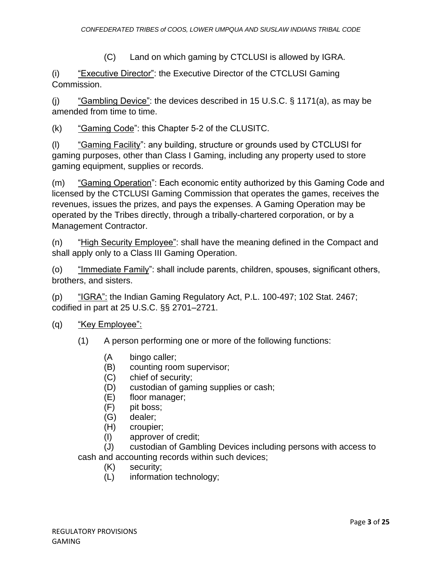(C) Land on which gaming by CTCLUSI is allowed by IGRA.

(i) "Executive Director": the Executive Director of the CTCLUSI Gaming Commission.

(i) "Gambling Device": the devices described in 15 U.S.C.  $\S$  1171(a), as may be amended from time to time.

(k) "Gaming Code": this Chapter 5-2 of the CLUSITC.

(l) "Gaming Facility": any building, structure or grounds used by CTCLUSI for gaming purposes, other than Class I Gaming, including any property used to store gaming equipment, supplies or records.

(m) "Gaming Operation": Each economic entity authorized by this Gaming Code and licensed by the CTCLUSI Gaming Commission that operates the games, receives the revenues, issues the prizes, and pays the expenses. A Gaming Operation may be operated by the Tribes directly, through a tribally-chartered corporation, or by a Management Contractor.

(n) "High Security Employee": shall have the meaning defined in the Compact and shall apply only to a Class III Gaming Operation.

(o) "Immediate Family": shall include parents, children, spouses, significant others, brothers, and sisters.

(p)  $\frac{16R A''}{16R A''}$ : the Indian Gaming Regulatory Act, P.L. 100-497; 102 Stat. 2467; codified in part at 25 U.S.C. §§ 2701–2721.

(q) <u>"Key Employee":</u>

(1) A person performing one or more of the following functions:

- (A bingo caller;
- (B) counting room supervisor;
- (C) chief of security;
- (D) custodian of gaming supplies or cash;
- (E) floor manager;
- (F) pit boss;
- (G) dealer;
- (H) croupier;
- (I) approver of credit;

(J) custodian of Gambling Devices including persons with access to cash and accounting records within such devices;

- (K) security;
- (L) information technology;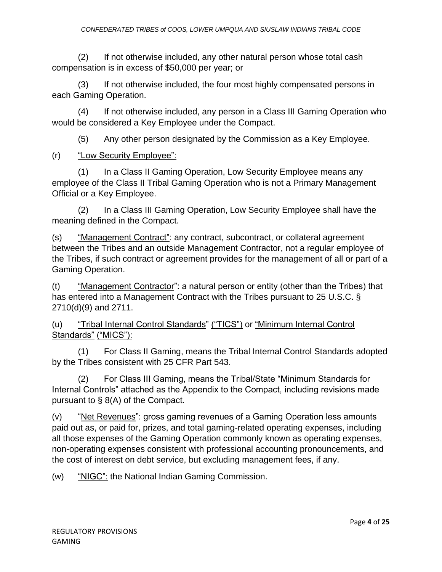(2) If not otherwise included, any other natural person whose total cash compensation is in excess of \$50,000 per year; or

(3) If not otherwise included, the four most highly compensated persons in each Gaming Operation.

(4) If not otherwise included, any person in a Class III Gaming Operation who would be considered a Key Employee under the Compact.

(5) Any other person designated by the Commission as a Key Employee.

## (r) "Low Security Employee":

(1) In a Class II Gaming Operation, Low Security Employee means any employee of the Class II Tribal Gaming Operation who is not a Primary Management Official or a Key Employee.

(2) In a Class III Gaming Operation, Low Security Employee shall have the meaning defined in the Compact.

(s) "Management Contract": any contract, subcontract, or collateral agreement between the Tribes and an outside Management Contractor, not a regular employee of the Tribes, if such contract or agreement provides for the management of all or part of a Gaming Operation.

(t) "Management Contractor": a natural person or entity (other than the Tribes) that has entered into a Management Contract with the Tribes pursuant to 25 U.S.C. § 2710(d)(9) and 2711.

(u) "Tribal Internal Control Standards" ("TICS") or "Minimum Internal Control Standards" ("MICS"):

(1) For Class II Gaming, means the Tribal Internal Control Standards adopted by the Tribes consistent with 25 CFR Part 543.

(2) For Class III Gaming, means the Tribal/State "Minimum Standards for Internal Controls" attached as the Appendix to the Compact, including revisions made pursuant to § 8(A) of the Compact.

(v) "Net Revenues": gross gaming revenues of a Gaming Operation less amounts paid out as, or paid for, prizes, and total gaming-related operating expenses, including all those expenses of the Gaming Operation commonly known as operating expenses, non-operating expenses consistent with professional accounting pronouncements, and the cost of interest on debt service, but excluding management fees, if any.

(w) "NIGC": the National Indian Gaming Commission.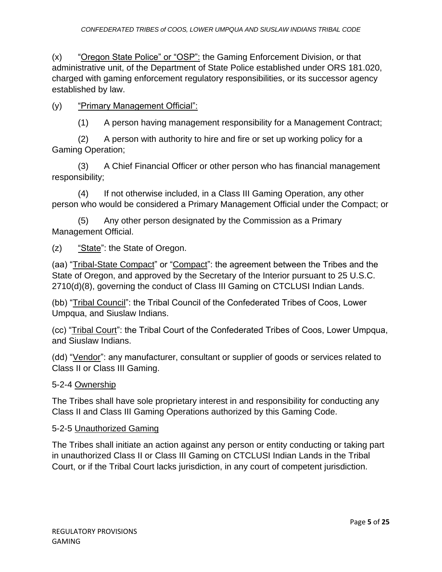(x) "Oregon State Police" or "OSP": the Gaming Enforcement Division, or that administrative unit, of the Department of State Police established under ORS 181.020, charged with gaming enforcement regulatory responsibilities, or its successor agency established by law.

(y) "Primary Management Official":

(1) A person having management responsibility for a Management Contract;

(2) A person with authority to hire and fire or set up working policy for a Gaming Operation;

(3) A Chief Financial Officer or other person who has financial management responsibility;

(4) If not otherwise included, in a Class III Gaming Operation, any other person who would be considered a Primary Management Official under the Compact; or

(5) Any other person designated by the Commission as a Primary Management Official.

(z) "State": the State of Oregon.

(aa) "Tribal-State Compact" or "Compact": the agreement between the Tribes and the State of Oregon, and approved by the Secretary of the Interior pursuant to 25 U.S.C. 2710(d)(8), governing the conduct of Class III Gaming on CTCLUSI Indian Lands.

(bb) "Tribal Council": the Tribal Council of the Confederated Tribes of Coos, Lower Umpqua, and Siuslaw Indians.

(cc) "Tribal Court": the Tribal Court of the Confederated Tribes of Coos, Lower Umpqua, and Siuslaw Indians.

(dd) "Vendor": any manufacturer, consultant or supplier of goods or services related to Class II or Class III Gaming.

## 5-2-4 Ownership

The Tribes shall have sole proprietary interest in and responsibility for conducting any Class II and Class III Gaming Operations authorized by this Gaming Code.

#### 5-2-5 Unauthorized Gaming

The Tribes shall initiate an action against any person or entity conducting or taking part in unauthorized Class II or Class III Gaming on CTCLUSI Indian Lands in the Tribal Court, or if the Tribal Court lacks jurisdiction, in any court of competent jurisdiction.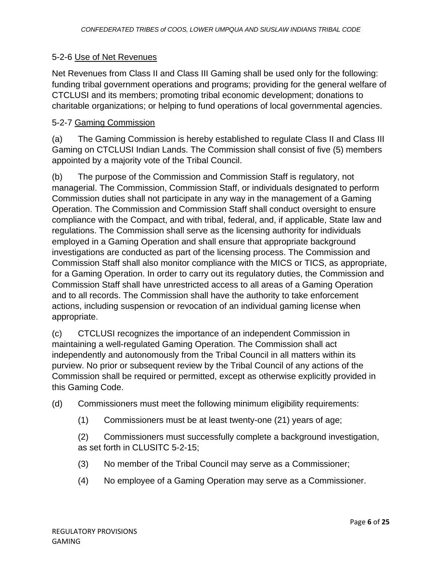### 5-2-6 Use of Net Revenues

Net Revenues from Class II and Class III Gaming shall be used only for the following: funding tribal government operations and programs; providing for the general welfare of CTCLUSI and its members; promoting tribal economic development; donations to charitable organizations; or helping to fund operations of local governmental agencies.

### 5-2-7 Gaming Commission

(a) The Gaming Commission is hereby established to regulate Class II and Class III Gaming on CTCLUSI Indian Lands. The Commission shall consist of five (5) members appointed by a majority vote of the Tribal Council.

(b) The purpose of the Commission and Commission Staff is regulatory, not managerial. The Commission, Commission Staff, or individuals designated to perform Commission duties shall not participate in any way in the management of a Gaming Operation. The Commission and Commission Staff shall conduct oversight to ensure compliance with the Compact, and with tribal, federal, and, if applicable, State law and regulations. The Commission shall serve as the licensing authority for individuals employed in a Gaming Operation and shall ensure that appropriate background investigations are conducted as part of the licensing process. The Commission and Commission Staff shall also monitor compliance with the MICS or TICS, as appropriate, for a Gaming Operation. In order to carry out its regulatory duties, the Commission and Commission Staff shall have unrestricted access to all areas of a Gaming Operation and to all records. The Commission shall have the authority to take enforcement actions, including suspension or revocation of an individual gaming license when appropriate.

(c) CTCLUSI recognizes the importance of an independent Commission in maintaining a well-regulated Gaming Operation. The Commission shall act independently and autonomously from the Tribal Council in all matters within its purview. No prior or subsequent review by the Tribal Council of any actions of the Commission shall be required or permitted, except as otherwise explicitly provided in this Gaming Code.

(d) Commissioners must meet the following minimum eligibility requirements:

(1) Commissioners must be at least twenty-one (21) years of age;

(2) Commissioners must successfully complete a background investigation, as set forth in CLUSITC 5-2-15;

- (3) No member of the Tribal Council may serve as a Commissioner;
- (4) No employee of a Gaming Operation may serve as a Commissioner.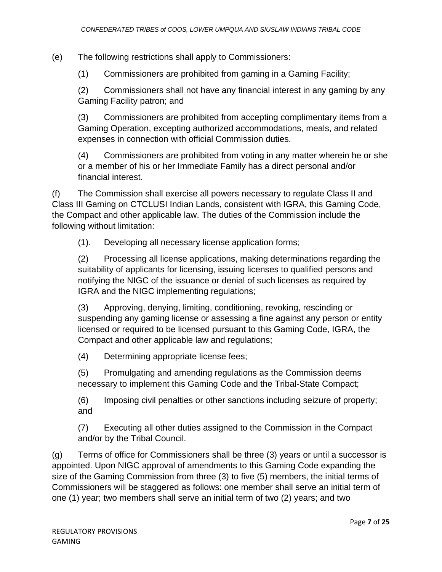(e) The following restrictions shall apply to Commissioners:

(1) Commissioners are prohibited from gaming in a Gaming Facility;

(2) Commissioners shall not have any financial interest in any gaming by any Gaming Facility patron; and

(3) Commissioners are prohibited from accepting complimentary items from a Gaming Operation, excepting authorized accommodations, meals, and related expenses in connection with official Commission duties.

(4) Commissioners are prohibited from voting in any matter wherein he or she or a member of his or her Immediate Family has a direct personal and/or financial interest.

(f) The Commission shall exercise all powers necessary to regulate Class II and Class III Gaming on CTCLUSI Indian Lands, consistent with IGRA, this Gaming Code, the Compact and other applicable law. The duties of the Commission include the following without limitation:

(1). Developing all necessary license application forms;

(2) Processing all license applications, making determinations regarding the suitability of applicants for licensing, issuing licenses to qualified persons and notifying the NIGC of the issuance or denial of such licenses as required by IGRA and the NIGC implementing regulations;

(3) Approving, denying, limiting, conditioning, revoking, rescinding or suspending any gaming license or assessing a fine against any person or entity licensed or required to be licensed pursuant to this Gaming Code, IGRA, the Compact and other applicable law and regulations;

(4) Determining appropriate license fees;

(5) Promulgating and amending regulations as the Commission deems necessary to implement this Gaming Code and the Tribal-State Compact;

(6) Imposing civil penalties or other sanctions including seizure of property; and

(7) Executing all other duties assigned to the Commission in the Compact and/or by the Tribal Council.

(g) Terms of office for Commissioners shall be three (3) years or until a successor is appointed. Upon NIGC approval of amendments to this Gaming Code expanding the size of the Gaming Commission from three (3) to five (5) members, the initial terms of Commissioners will be staggered as follows: one member shall serve an initial term of one (1) year; two members shall serve an initial term of two (2) years; and two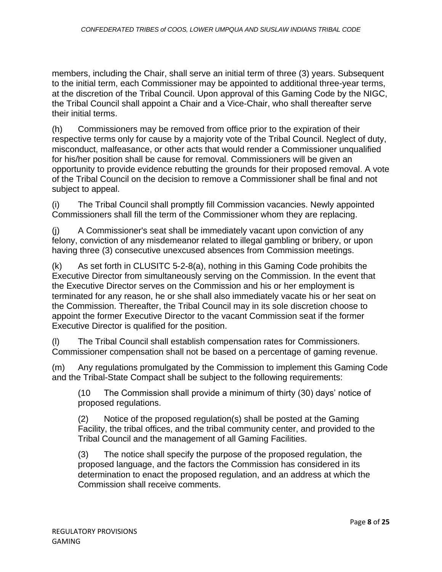members, including the Chair, shall serve an initial term of three (3) years. Subsequent to the initial term, each Commissioner may be appointed to additional three-year terms, at the discretion of the Tribal Council. Upon approval of this Gaming Code by the NIGC, the Tribal Council shall appoint a Chair and a Vice-Chair, who shall thereafter serve their initial terms.

(h) Commissioners may be removed from office prior to the expiration of their respective terms only for cause by a majority vote of the Tribal Council. Neglect of duty, misconduct, malfeasance, or other acts that would render a Commissioner unqualified for his/her position shall be cause for removal. Commissioners will be given an opportunity to provide evidence rebutting the grounds for their proposed removal. A vote of the Tribal Council on the decision to remove a Commissioner shall be final and not subject to appeal.

(i) The Tribal Council shall promptly fill Commission vacancies. Newly appointed Commissioners shall fill the term of the Commissioner whom they are replacing.

(j) A Commissioner's seat shall be immediately vacant upon conviction of any felony, conviction of any misdemeanor related to illegal gambling or bribery, or upon having three (3) consecutive unexcused absences from Commission meetings.

(k) As set forth in CLUSITC 5-2-8(a), nothing in this Gaming Code prohibits the Executive Director from simultaneously serving on the Commission. In the event that the Executive Director serves on the Commission and his or her employment is terminated for any reason, he or she shall also immediately vacate his or her seat on the Commission. Thereafter, the Tribal Council may in its sole discretion choose to appoint the former Executive Director to the vacant Commission seat if the former Executive Director is qualified for the position.

(l) The Tribal Council shall establish compensation rates for Commissioners. Commissioner compensation shall not be based on a percentage of gaming revenue.

(m) Any regulations promulgated by the Commission to implement this Gaming Code and the Tribal-State Compact shall be subject to the following requirements:

(10 The Commission shall provide a minimum of thirty (30) days' notice of proposed regulations.

(2) Notice of the proposed regulation(s) shall be posted at the Gaming Facility, the tribal offices, and the tribal community center, and provided to the Tribal Council and the management of all Gaming Facilities.

(3) The notice shall specify the purpose of the proposed regulation, the proposed language, and the factors the Commission has considered in its determination to enact the proposed regulation, and an address at which the Commission shall receive comments.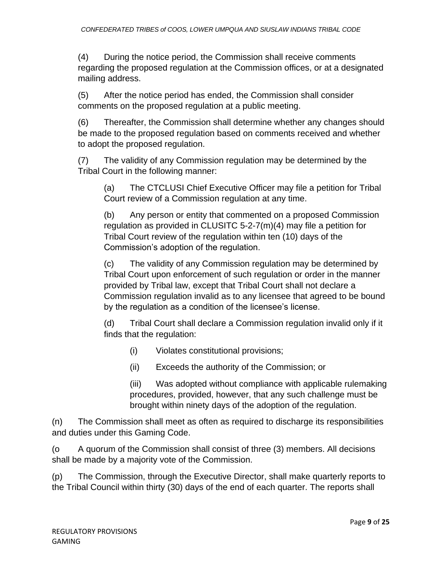(4) During the notice period, the Commission shall receive comments regarding the proposed regulation at the Commission offices, or at a designated mailing address.

(5) After the notice period has ended, the Commission shall consider comments on the proposed regulation at a public meeting.

(6) Thereafter, the Commission shall determine whether any changes should be made to the proposed regulation based on comments received and whether to adopt the proposed regulation.

(7) The validity of any Commission regulation may be determined by the Tribal Court in the following manner:

(a) The CTCLUSI Chief Executive Officer may file a petition for Tribal Court review of a Commission regulation at any time.

(b) Any person or entity that commented on a proposed Commission regulation as provided in CLUSITC 5-2-7(m)(4) may file a petition for Tribal Court review of the regulation within ten (10) days of the Commission's adoption of the regulation.

(c) The validity of any Commission regulation may be determined by Tribal Court upon enforcement of such regulation or order in the manner provided by Tribal law, except that Tribal Court shall not declare a Commission regulation invalid as to any licensee that agreed to be bound by the regulation as a condition of the licensee's license.

(d) Tribal Court shall declare a Commission regulation invalid only if it finds that the regulation:

- (i) Violates constitutional provisions;
- (ii) Exceeds the authority of the Commission; or

(iii) Was adopted without compliance with applicable rulemaking procedures, provided, however, that any such challenge must be brought within ninety days of the adoption of the regulation.

(n) The Commission shall meet as often as required to discharge its responsibilities and duties under this Gaming Code.

(o A quorum of the Commission shall consist of three (3) members. All decisions shall be made by a majority vote of the Commission.

(p) The Commission, through the Executive Director, shall make quarterly reports to the Tribal Council within thirty (30) days of the end of each quarter. The reports shall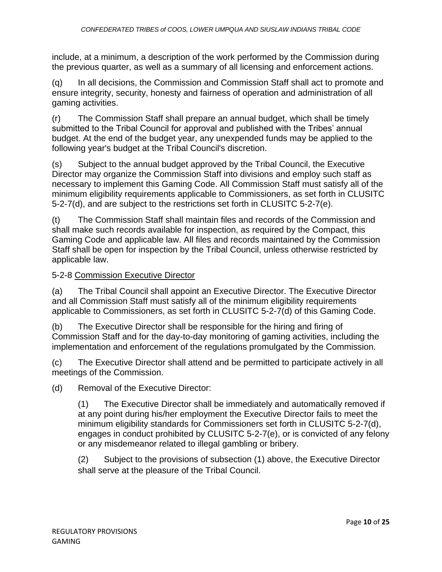include, at a minimum, a description of the work performed by the Commission during the previous quarter, as well as a summary of all licensing and enforcement actions.

(q) In all decisions, the Commission and Commission Staff shall act to promote and ensure integrity, security, honesty and fairness of operation and administration of all gaming activities.

(r) The Commission Staff shall prepare an annual budget, which shall be timely submitted to the Tribal Council for approval and published with the Tribes' annual budget. At the end of the budget year, any unexpended funds may be applied to the following year's budget at the Tribal Council's discretion.

(s) Subject to the annual budget approved by the Tribal Council, the Executive Director may organize the Commission Staff into divisions and employ such staff as necessary to implement this Gaming Code. All Commission Staff must satisfy all of the minimum eligibility requirements applicable to Commissioners, as set forth in CLUSITC 5-2-7(d), and are subject to the restrictions set forth in CLUSITC 5-2-7(e).

(t) The Commission Staff shall maintain files and records of the Commission and shall make such records available for inspection, as required by the Compact, this Gaming Code and applicable law. All files and records maintained by the Commission Staff shall be open for inspection by the Tribal Council, unless otherwise restricted by applicable law.

### 5-2-8 Commission Executive Director

(a) The Tribal Council shall appoint an Executive Director. The Executive Director and all Commission Staff must satisfy all of the minimum eligibility requirements applicable to Commissioners, as set forth in CLUSITC 5-2-7(d) of this Gaming Code.

(b) The Executive Director shall be responsible for the hiring and firing of Commission Staff and for the day-to-day monitoring of gaming activities, including the implementation and enforcement of the regulations promulgated by the Commission.

(c) The Executive Director shall attend and be permitted to participate actively in all meetings of the Commission.

(d) Removal of the Executive Director:

(1) The Executive Director shall be immediately and automatically removed if at any point during his/her employment the Executive Director fails to meet the minimum eligibility standards for Commissioners set forth in CLUSITC 5-2-7(d), engages in conduct prohibited by CLUSITC 5-2-7(e), or is convicted of any felony or any misdemeanor related to illegal gambling or bribery.

(2) Subject to the provisions of subsection (1) above, the Executive Director shall serve at the pleasure of the Tribal Council.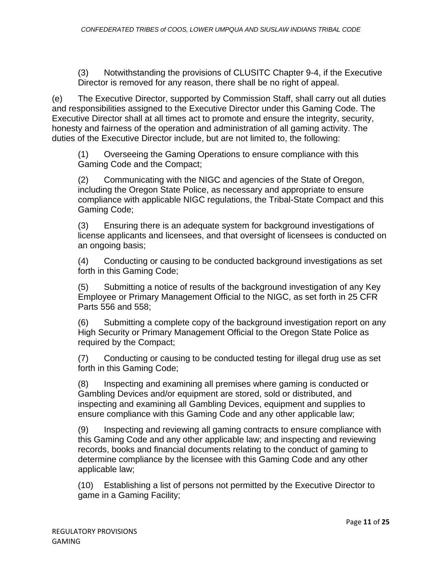(3) Notwithstanding the provisions of CLUSITC Chapter 9-4, if the Executive Director is removed for any reason, there shall be no right of appeal.

(e) The Executive Director, supported by Commission Staff, shall carry out all duties and responsibilities assigned to the Executive Director under this Gaming Code. The Executive Director shall at all times act to promote and ensure the integrity, security, honesty and fairness of the operation and administration of all gaming activity. The duties of the Executive Director include, but are not limited to, the following:

(1) Overseeing the Gaming Operations to ensure compliance with this Gaming Code and the Compact;

(2) Communicating with the NIGC and agencies of the State of Oregon, including the Oregon State Police, as necessary and appropriate to ensure compliance with applicable NIGC regulations, the Tribal-State Compact and this Gaming Code;

(3) Ensuring there is an adequate system for background investigations of license applicants and licensees, and that oversight of licensees is conducted on an ongoing basis;

(4) Conducting or causing to be conducted background investigations as set forth in this Gaming Code;

(5) Submitting a notice of results of the background investigation of any Key Employee or Primary Management Official to the NIGC, as set forth in 25 CFR Parts 556 and 558;

(6) Submitting a complete copy of the background investigation report on any High Security or Primary Management Official to the Oregon State Police as required by the Compact;

(7) Conducting or causing to be conducted testing for illegal drug use as set forth in this Gaming Code;

(8) Inspecting and examining all premises where gaming is conducted or Gambling Devices and/or equipment are stored, sold or distributed, and inspecting and examining all Gambling Devices, equipment and supplies to ensure compliance with this Gaming Code and any other applicable law;

(9) Inspecting and reviewing all gaming contracts to ensure compliance with this Gaming Code and any other applicable law; and inspecting and reviewing records, books and financial documents relating to the conduct of gaming to determine compliance by the licensee with this Gaming Code and any other applicable law;

(10) Establishing a list of persons not permitted by the Executive Director to game in a Gaming Facility;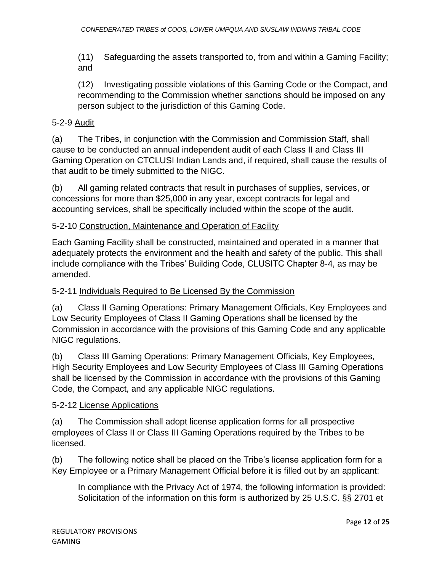(11) Safeguarding the assets transported to, from and within a Gaming Facility; and

(12) Investigating possible violations of this Gaming Code or the Compact, and recommending to the Commission whether sanctions should be imposed on any person subject to the jurisdiction of this Gaming Code.

# 5-2-9 Audit

(a) The Tribes, in conjunction with the Commission and Commission Staff, shall cause to be conducted an annual independent audit of each Class II and Class III Gaming Operation on CTCLUSI Indian Lands and, if required, shall cause the results of that audit to be timely submitted to the NIGC.

(b) All gaming related contracts that result in purchases of supplies, services, or concessions for more than \$25,000 in any year, except contracts for legal and accounting services, shall be specifically included within the scope of the audit.

# 5-2-10 Construction, Maintenance and Operation of Facility

Each Gaming Facility shall be constructed, maintained and operated in a manner that adequately protects the environment and the health and safety of the public. This shall include compliance with the Tribes' Building Code, CLUSITC Chapter 8-4, as may be amended.

## 5-2-11 Individuals Required to Be Licensed By the Commission

(a) Class II Gaming Operations: Primary Management Officials, Key Employees and Low Security Employees of Class II Gaming Operations shall be licensed by the Commission in accordance with the provisions of this Gaming Code and any applicable NIGC regulations.

(b) Class III Gaming Operations: Primary Management Officials, Key Employees, High Security Employees and Low Security Employees of Class III Gaming Operations shall be licensed by the Commission in accordance with the provisions of this Gaming Code, the Compact, and any applicable NIGC regulations.

## 5-2-12 License Applications

(a) The Commission shall adopt license application forms for all prospective employees of Class II or Class III Gaming Operations required by the Tribes to be licensed.

(b) The following notice shall be placed on the Tribe's license application form for a Key Employee or a Primary Management Official before it is filled out by an applicant:

In compliance with the Privacy Act of 1974, the following information is provided: Solicitation of the information on this form is authorized by 25 U.S.C. §§ 2701 et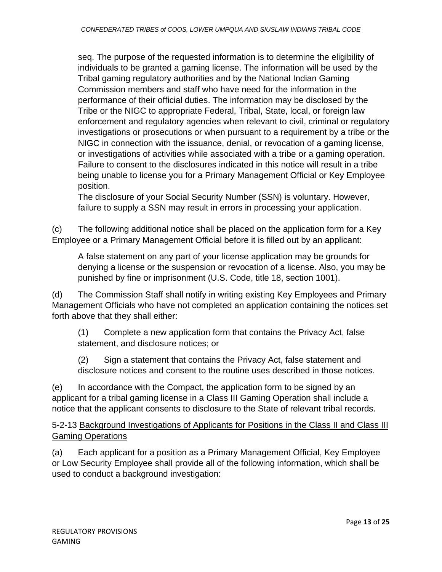seq. The purpose of the requested information is to determine the eligibility of individuals to be granted a gaming license. The information will be used by the Tribal gaming regulatory authorities and by the National Indian Gaming Commission members and staff who have need for the information in the performance of their official duties. The information may be disclosed by the Tribe or the NIGC to appropriate Federal, Tribal, State, local, or foreign law enforcement and regulatory agencies when relevant to civil, criminal or regulatory investigations or prosecutions or when pursuant to a requirement by a tribe or the NIGC in connection with the issuance, denial, or revocation of a gaming license, or investigations of activities while associated with a tribe or a gaming operation. Failure to consent to the disclosures indicated in this notice will result in a tribe being unable to license you for a Primary Management Official or Key Employee position.

The disclosure of your Social Security Number (SSN) is voluntary. However, failure to supply a SSN may result in errors in processing your application.

(c) The following additional notice shall be placed on the application form for a Key Employee or a Primary Management Official before it is filled out by an applicant:

A false statement on any part of your license application may be grounds for denying a license or the suspension or revocation of a license. Also, you may be punished by fine or imprisonment (U.S. Code, title 18, section 1001).

(d) The Commission Staff shall notify in writing existing Key Employees and Primary Management Officials who have not completed an application containing the notices set forth above that they shall either:

(1) Complete a new application form that contains the Privacy Act, false statement, and disclosure notices; or

(2) Sign a statement that contains the Privacy Act, false statement and disclosure notices and consent to the routine uses described in those notices.

(e) In accordance with the Compact, the application form to be signed by an applicant for a tribal gaming license in a Class III Gaming Operation shall include a notice that the applicant consents to disclosure to the State of relevant tribal records.

5-2-13 Background Investigations of Applicants for Positions in the Class II and Class III Gaming Operations

(a) Each applicant for a position as a Primary Management Official, Key Employee or Low Security Employee shall provide all of the following information, which shall be used to conduct a background investigation: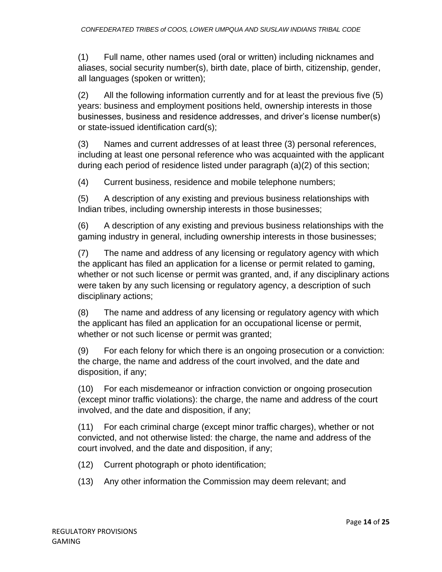(1) Full name, other names used (oral or written) including nicknames and aliases, social security number(s), birth date, place of birth, citizenship, gender, all languages (spoken or written);

(2) All the following information currently and for at least the previous five (5) years: business and employment positions held, ownership interests in those businesses, business and residence addresses, and driver's license number(s) or state-issued identification card(s);

(3) Names and current addresses of at least three (3) personal references, including at least one personal reference who was acquainted with the applicant during each period of residence listed under paragraph (a)(2) of this section;

(4) Current business, residence and mobile telephone numbers;

(5) A description of any existing and previous business relationships with Indian tribes, including ownership interests in those businesses;

(6) A description of any existing and previous business relationships with the gaming industry in general, including ownership interests in those businesses;

(7) The name and address of any licensing or regulatory agency with which the applicant has filed an application for a license or permit related to gaming, whether or not such license or permit was granted, and, if any disciplinary actions were taken by any such licensing or regulatory agency, a description of such disciplinary actions;

(8) The name and address of any licensing or regulatory agency with which the applicant has filed an application for an occupational license or permit, whether or not such license or permit was granted;

(9) For each felony for which there is an ongoing prosecution or a conviction: the charge, the name and address of the court involved, and the date and disposition, if any;

(10) For each misdemeanor or infraction conviction or ongoing prosecution (except minor traffic violations): the charge, the name and address of the court involved, and the date and disposition, if any;

(11) For each criminal charge (except minor traffic charges), whether or not convicted, and not otherwise listed: the charge, the name and address of the court involved, and the date and disposition, if any;

- (12) Current photograph or photo identification;
- (13) Any other information the Commission may deem relevant; and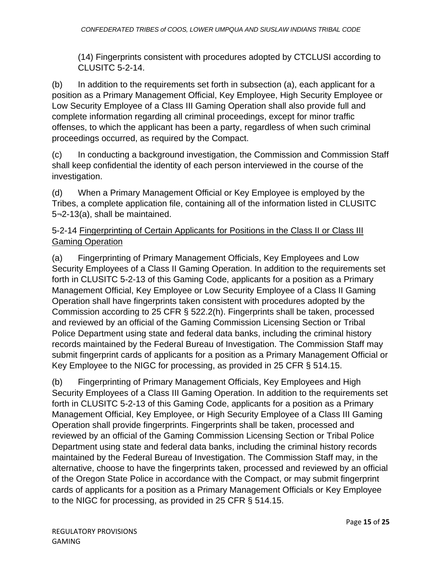(14) Fingerprints consistent with procedures adopted by CTCLUSI according to CLUSITC 5-2-14.

(b) In addition to the requirements set forth in subsection (a), each applicant for a position as a Primary Management Official, Key Employee, High Security Employee or Low Security Employee of a Class III Gaming Operation shall also provide full and complete information regarding all criminal proceedings, except for minor traffic offenses, to which the applicant has been a party, regardless of when such criminal proceedings occurred, as required by the Compact.

(c) In conducting a background investigation, the Commission and Commission Staff shall keep confidential the identity of each person interviewed in the course of the investigation.

(d) When a Primary Management Official or Key Employee is employed by the Tribes, a complete application file, containing all of the information listed in CLUSITC 5¬2-13(a), shall be maintained.

## 5-2-14 Fingerprinting of Certain Applicants for Positions in the Class II or Class III Gaming Operation

(a) Fingerprinting of Primary Management Officials, Key Employees and Low Security Employees of a Class II Gaming Operation. In addition to the requirements set forth in CLUSITC 5-2-13 of this Gaming Code, applicants for a position as a Primary Management Official, Key Employee or Low Security Employee of a Class II Gaming Operation shall have fingerprints taken consistent with procedures adopted by the Commission according to 25 CFR § 522.2(h). Fingerprints shall be taken, processed and reviewed by an official of the Gaming Commission Licensing Section or Tribal Police Department using state and federal data banks, including the criminal history records maintained by the Federal Bureau of Investigation. The Commission Staff may submit fingerprint cards of applicants for a position as a Primary Management Official or Key Employee to the NIGC for processing, as provided in 25 CFR § 514.15.

(b) Fingerprinting of Primary Management Officials, Key Employees and High Security Employees of a Class III Gaming Operation. In addition to the requirements set forth in CLUSITC 5-2-13 of this Gaming Code, applicants for a position as a Primary Management Official, Key Employee, or High Security Employee of a Class III Gaming Operation shall provide fingerprints. Fingerprints shall be taken, processed and reviewed by an official of the Gaming Commission Licensing Section or Tribal Police Department using state and federal data banks, including the criminal history records maintained by the Federal Bureau of Investigation. The Commission Staff may, in the alternative, choose to have the fingerprints taken, processed and reviewed by an official of the Oregon State Police in accordance with the Compact, or may submit fingerprint cards of applicants for a position as a Primary Management Officials or Key Employee to the NIGC for processing, as provided in 25 CFR § 514.15.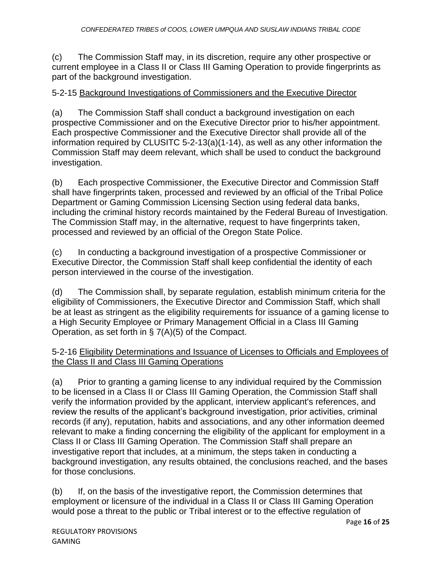(c) The Commission Staff may, in its discretion, require any other prospective or current employee in a Class II or Class III Gaming Operation to provide fingerprints as part of the background investigation.

## 5-2-15 Background Investigations of Commissioners and the Executive Director

(a) The Commission Staff shall conduct a background investigation on each prospective Commissioner and on the Executive Director prior to his/her appointment. Each prospective Commissioner and the Executive Director shall provide all of the information required by CLUSITC 5-2-13(a)(1-14), as well as any other information the Commission Staff may deem relevant, which shall be used to conduct the background investigation.

(b) Each prospective Commissioner, the Executive Director and Commission Staff shall have fingerprints taken, processed and reviewed by an official of the Tribal Police Department or Gaming Commission Licensing Section using federal data banks, including the criminal history records maintained by the Federal Bureau of Investigation. The Commission Staff may, in the alternative, request to have fingerprints taken, processed and reviewed by an official of the Oregon State Police.

(c) In conducting a background investigation of a prospective Commissioner or Executive Director, the Commission Staff shall keep confidential the identity of each person interviewed in the course of the investigation.

(d) The Commission shall, by separate regulation, establish minimum criteria for the eligibility of Commissioners, the Executive Director and Commission Staff, which shall be at least as stringent as the eligibility requirements for issuance of a gaming license to a High Security Employee or Primary Management Official in a Class III Gaming Operation, as set forth in § 7(A)(5) of the Compact.

#### 5-2-16 Eligibility Determinations and Issuance of Licenses to Officials and Employees of the Class II and Class III Gaming Operations

(a) Prior to granting a gaming license to any individual required by the Commission to be licensed in a Class II or Class III Gaming Operation, the Commission Staff shall verify the information provided by the applicant, interview applicant's references, and review the results of the applicant's background investigation, prior activities, criminal records (if any), reputation, habits and associations, and any other information deemed relevant to make a finding concerning the eligibility of the applicant for employment in a Class II or Class III Gaming Operation. The Commission Staff shall prepare an investigative report that includes, at a minimum, the steps taken in conducting a background investigation, any results obtained, the conclusions reached, and the bases for those conclusions.

(b) If, on the basis of the investigative report, the Commission determines that employment or licensure of the individual in a Class II or Class III Gaming Operation would pose a threat to the public or Tribal interest or to the effective regulation of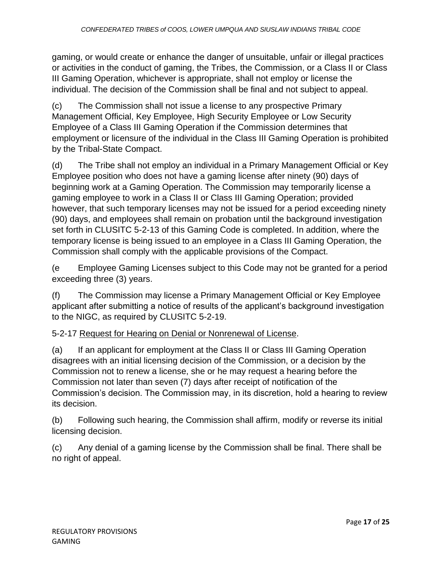gaming, or would create or enhance the danger of unsuitable, unfair or illegal practices or activities in the conduct of gaming, the Tribes, the Commission, or a Class II or Class III Gaming Operation, whichever is appropriate, shall not employ or license the individual. The decision of the Commission shall be final and not subject to appeal.

(c) The Commission shall not issue a license to any prospective Primary Management Official, Key Employee, High Security Employee or Low Security Employee of a Class III Gaming Operation if the Commission determines that employment or licensure of the individual in the Class III Gaming Operation is prohibited by the Tribal-State Compact.

(d) The Tribe shall not employ an individual in a Primary Management Official or Key Employee position who does not have a gaming license after ninety (90) days of beginning work at a Gaming Operation. The Commission may temporarily license a gaming employee to work in a Class II or Class III Gaming Operation; provided however, that such temporary licenses may not be issued for a period exceeding ninety (90) days, and employees shall remain on probation until the background investigation set forth in CLUSITC 5-2-13 of this Gaming Code is completed. In addition, where the temporary license is being issued to an employee in a Class III Gaming Operation, the Commission shall comply with the applicable provisions of the Compact.

(e Employee Gaming Licenses subject to this Code may not be granted for a period exceeding three (3) years.

(f) The Commission may license a Primary Management Official or Key Employee applicant after submitting a notice of results of the applicant's background investigation to the NIGC, as required by CLUSITC 5-2-19.

5-2-17 Request for Hearing on Denial or Nonrenewal of License.

(a) If an applicant for employment at the Class II or Class III Gaming Operation disagrees with an initial licensing decision of the Commission, or a decision by the Commission not to renew a license, she or he may request a hearing before the Commission not later than seven (7) days after receipt of notification of the Commission's decision. The Commission may, in its discretion, hold a hearing to review its decision.

(b) Following such hearing, the Commission shall affirm, modify or reverse its initial licensing decision.

(c) Any denial of a gaming license by the Commission shall be final. There shall be no right of appeal.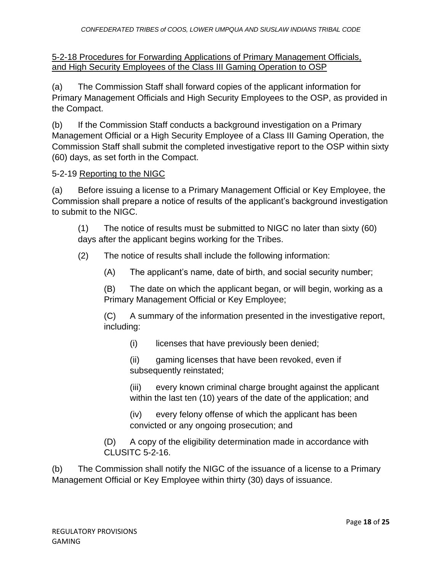5-2-18 Procedures for Forwarding Applications of Primary Management Officials, and High Security Employees of the Class III Gaming Operation to OSP

(a) The Commission Staff shall forward copies of the applicant information for Primary Management Officials and High Security Employees to the OSP, as provided in the Compact.

(b) If the Commission Staff conducts a background investigation on a Primary Management Official or a High Security Employee of a Class III Gaming Operation, the Commission Staff shall submit the completed investigative report to the OSP within sixty (60) days, as set forth in the Compact.

### 5-2-19 Reporting to the NIGC

(a) Before issuing a license to a Primary Management Official or Key Employee, the Commission shall prepare a notice of results of the applicant's background investigation to submit to the NIGC.

(1) The notice of results must be submitted to NIGC no later than sixty (60) days after the applicant begins working for the Tribes.

(2) The notice of results shall include the following information:

(A) The applicant's name, date of birth, and social security number;

(B) The date on which the applicant began, or will begin, working as a Primary Management Official or Key Employee;

(C) A summary of the information presented in the investigative report, including:

(i) licenses that have previously been denied;

(ii) gaming licenses that have been revoked, even if subsequently reinstated;

(iii) every known criminal charge brought against the applicant within the last ten (10) years of the date of the application; and

(iv) every felony offense of which the applicant has been convicted or any ongoing prosecution; and

(D) A copy of the eligibility determination made in accordance with CLUSITC 5-2-16.

(b) The Commission shall notify the NIGC of the issuance of a license to a Primary Management Official or Key Employee within thirty (30) days of issuance.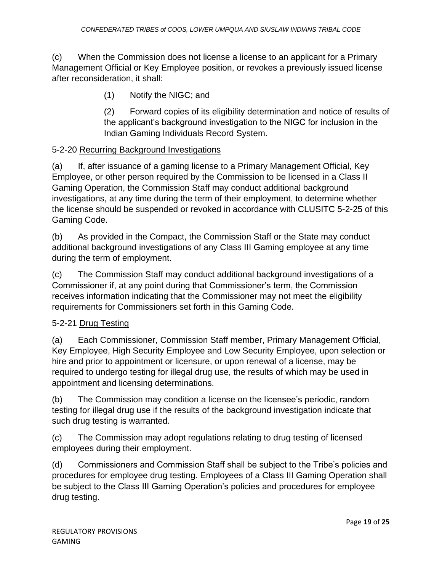(c) When the Commission does not license a license to an applicant for a Primary Management Official or Key Employee position, or revokes a previously issued license after reconsideration, it shall:

(1) Notify the NIGC; and

(2) Forward copies of its eligibility determination and notice of results of the applicant's background investigation to the NIGC for inclusion in the Indian Gaming Individuals Record System.

## 5-2-20 Recurring Background Investigations

(a) If, after issuance of a gaming license to a Primary Management Official, Key Employee, or other person required by the Commission to be licensed in a Class II Gaming Operation, the Commission Staff may conduct additional background investigations, at any time during the term of their employment, to determine whether the license should be suspended or revoked in accordance with CLUSITC 5-2-25 of this Gaming Code.

(b) As provided in the Compact, the Commission Staff or the State may conduct additional background investigations of any Class III Gaming employee at any time during the term of employment.

(c) The Commission Staff may conduct additional background investigations of a Commissioner if, at any point during that Commissioner's term, the Commission receives information indicating that the Commissioner may not meet the eligibility requirements for Commissioners set forth in this Gaming Code.

## 5-2-21 Drug Testing

(a) Each Commissioner, Commission Staff member, Primary Management Official, Key Employee, High Security Employee and Low Security Employee, upon selection or hire and prior to appointment or licensure, or upon renewal of a license, may be required to undergo testing for illegal drug use, the results of which may be used in appointment and licensing determinations.

(b) The Commission may condition a license on the licensee's periodic, random testing for illegal drug use if the results of the background investigation indicate that such drug testing is warranted.

(c) The Commission may adopt regulations relating to drug testing of licensed employees during their employment.

(d) Commissioners and Commission Staff shall be subject to the Tribe's policies and procedures for employee drug testing. Employees of a Class III Gaming Operation shall be subject to the Class III Gaming Operation's policies and procedures for employee drug testing.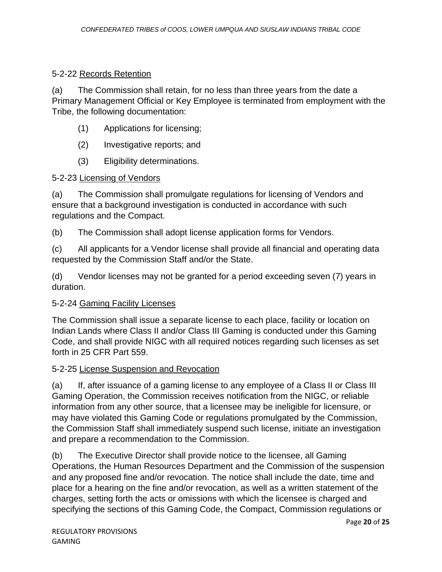# 5-2-22 Records Retention

(a) The Commission shall retain, for no less than three years from the date a Primary Management Official or Key Employee is terminated from employment with the Tribe, the following documentation:

- (1) Applications for licensing;
- (2) Investigative reports; and
- (3) Eligibility determinations.

# 5-2-23 Licensing of Vendors

(a) The Commission shall promulgate regulations for licensing of Vendors and ensure that a background investigation is conducted in accordance with such regulations and the Compact.

(b) The Commission shall adopt license application forms for Vendors.

(c) All applicants for a Vendor license shall provide all financial and operating data requested by the Commission Staff and/or the State.

(d) Vendor licenses may not be granted for a period exceeding seven (7) years in duration.

# 5-2-24 Gaming Facility Licenses

The Commission shall issue a separate license to each place, facility or location on Indian Lands where Class II and/or Class III Gaming is conducted under this Gaming Code, and shall provide NIGC with all required notices regarding such licenses as set forth in 25 CFR Part 559.

# 5-2-25 License Suspension and Revocation

(a) If, after issuance of a gaming license to any employee of a Class II or Class III Gaming Operation, the Commission receives notification from the NIGC, or reliable information from any other source, that a licensee may be ineligible for licensure, or may have violated this Gaming Code or regulations promulgated by the Commission, the Commission Staff shall immediately suspend such license, initiate an investigation and prepare a recommendation to the Commission.

(b) The Executive Director shall provide notice to the licensee, all Gaming Operations, the Human Resources Department and the Commission of the suspension and any proposed fine and/or revocation. The notice shall include the date, time and place for a hearing on the fine and/or revocation, as well as a written statement of the charges, setting forth the acts or omissions with which the licensee is charged and specifying the sections of this Gaming Code, the Compact, Commission regulations or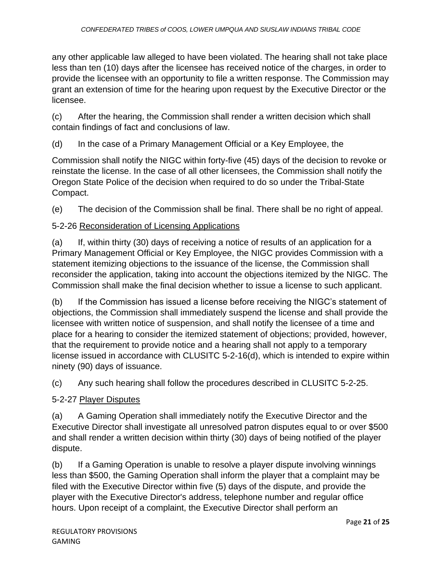any other applicable law alleged to have been violated. The hearing shall not take place less than ten (10) days after the licensee has received notice of the charges, in order to provide the licensee with an opportunity to file a written response. The Commission may grant an extension of time for the hearing upon request by the Executive Director or the licensee.

(c) After the hearing, the Commission shall render a written decision which shall contain findings of fact and conclusions of law.

(d) In the case of a Primary Management Official or a Key Employee, the

Commission shall notify the NIGC within forty-five (45) days of the decision to revoke or reinstate the license. In the case of all other licensees, the Commission shall notify the Oregon State Police of the decision when required to do so under the Tribal-State Compact.

(e) The decision of the Commission shall be final. There shall be no right of appeal.

# 5-2-26 Reconsideration of Licensing Applications

(a) If, within thirty (30) days of receiving a notice of results of an application for a Primary Management Official or Key Employee, the NIGC provides Commission with a statement itemizing objections to the issuance of the license, the Commission shall reconsider the application, taking into account the objections itemized by the NIGC. The Commission shall make the final decision whether to issue a license to such applicant.

(b) If the Commission has issued a license before receiving the NIGC's statement of objections, the Commission shall immediately suspend the license and shall provide the licensee with written notice of suspension, and shall notify the licensee of a time and place for a hearing to consider the itemized statement of objections; provided, however, that the requirement to provide notice and a hearing shall not apply to a temporary license issued in accordance with CLUSITC 5-2-16(d), which is intended to expire within ninety (90) days of issuance.

(c) Any such hearing shall follow the procedures described in CLUSITC 5-2-25.

## 5-2-27 Player Disputes

(a) A Gaming Operation shall immediately notify the Executive Director and the Executive Director shall investigate all unresolved patron disputes equal to or over \$500 and shall render a written decision within thirty (30) days of being notified of the player dispute.

(b) If a Gaming Operation is unable to resolve a player dispute involving winnings less than \$500, the Gaming Operation shall inform the player that a complaint may be filed with the Executive Director within five (5) days of the dispute, and provide the player with the Executive Director's address, telephone number and regular office hours. Upon receipt of a complaint, the Executive Director shall perform an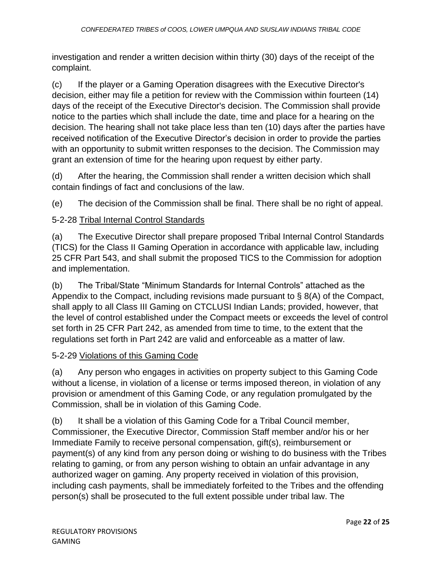investigation and render a written decision within thirty (30) days of the receipt of the complaint.

(c) If the player or a Gaming Operation disagrees with the Executive Director's decision, either may file a petition for review with the Commission within fourteen (14) days of the receipt of the Executive Director's decision. The Commission shall provide notice to the parties which shall include the date, time and place for a hearing on the decision. The hearing shall not take place less than ten (10) days after the parties have received notification of the Executive Director's decision in order to provide the parties with an opportunity to submit written responses to the decision. The Commission may grant an extension of time for the hearing upon request by either party.

(d) After the hearing, the Commission shall render a written decision which shall contain findings of fact and conclusions of the law.

(e) The decision of the Commission shall be final. There shall be no right of appeal.

# 5-2-28 Tribal Internal Control Standards

(a) The Executive Director shall prepare proposed Tribal Internal Control Standards (TICS) for the Class II Gaming Operation in accordance with applicable law, including 25 CFR Part 543, and shall submit the proposed TICS to the Commission for adoption and implementation.

(b) The Tribal/State "Minimum Standards for Internal Controls" attached as the Appendix to the Compact, including revisions made pursuant to § 8(A) of the Compact, shall apply to all Class III Gaming on CTCLUSI Indian Lands; provided, however, that the level of control established under the Compact meets or exceeds the level of control set forth in 25 CFR Part 242, as amended from time to time, to the extent that the regulations set forth in Part 242 are valid and enforceable as a matter of law.

# 5-2-29 Violations of this Gaming Code

(a) Any person who engages in activities on property subject to this Gaming Code without a license, in violation of a license or terms imposed thereon, in violation of any provision or amendment of this Gaming Code, or any regulation promulgated by the Commission, shall be in violation of this Gaming Code.

(b) It shall be a violation of this Gaming Code for a Tribal Council member, Commissioner, the Executive Director, Commission Staff member and/or his or her Immediate Family to receive personal compensation, gift(s), reimbursement or payment(s) of any kind from any person doing or wishing to do business with the Tribes relating to gaming, or from any person wishing to obtain an unfair advantage in any authorized wager on gaming. Any property received in violation of this provision, including cash payments, shall be immediately forfeited to the Tribes and the offending person(s) shall be prosecuted to the full extent possible under tribal law. The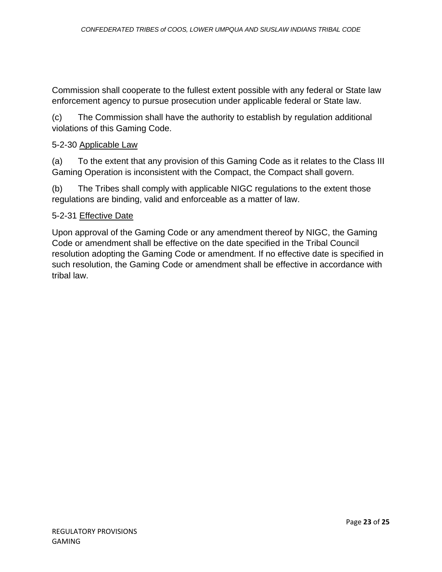Commission shall cooperate to the fullest extent possible with any federal or State law enforcement agency to pursue prosecution under applicable federal or State law.

(c) The Commission shall have the authority to establish by regulation additional violations of this Gaming Code.

### 5-2-30 Applicable Law

(a) To the extent that any provision of this Gaming Code as it relates to the Class III Gaming Operation is inconsistent with the Compact, the Compact shall govern.

(b) The Tribes shall comply with applicable NIGC regulations to the extent those regulations are binding, valid and enforceable as a matter of law.

#### 5-2-31 Effective Date

Upon approval of the Gaming Code or any amendment thereof by NIGC, the Gaming Code or amendment shall be effective on the date specified in the Tribal Council resolution adopting the Gaming Code or amendment. If no effective date is specified in such resolution, the Gaming Code or amendment shall be effective in accordance with tribal law.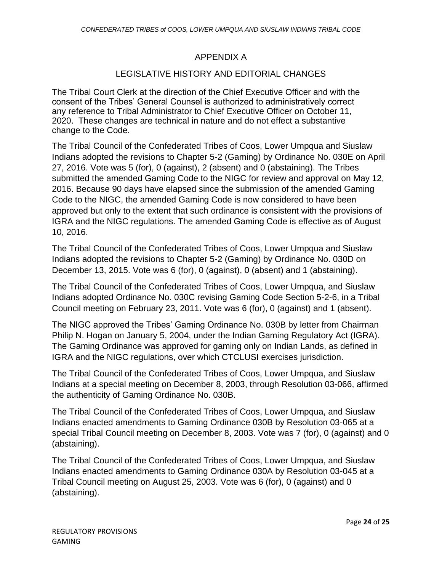### APPENDIX A

#### LEGISLATIVE HISTORY AND EDITORIAL CHANGES

The Tribal Court Clerk at the direction of the Chief Executive Officer and with the consent of the Tribes' General Counsel is authorized to administratively correct any reference to Tribal Administrator to Chief Executive Officer on October 11, 2020. These changes are technical in nature and do not effect a substantive change to the Code.

The Tribal Council of the Confederated Tribes of Coos, Lower Umpqua and Siuslaw Indians adopted the revisions to Chapter 5-2 (Gaming) by Ordinance No. 030E on April 27, 2016. Vote was 5 (for), 0 (against), 2 (absent) and 0 (abstaining). The Tribes submitted the amended Gaming Code to the NIGC for review and approval on May 12, 2016. Because 90 days have elapsed since the submission of the amended Gaming Code to the NIGC, the amended Gaming Code is now considered to have been approved but only to the extent that such ordinance is consistent with the provisions of IGRA and the NIGC regulations. The amended Gaming Code is effective as of August 10, 2016.

The Tribal Council of the Confederated Tribes of Coos, Lower Umpqua and Siuslaw Indians adopted the revisions to Chapter 5-2 (Gaming) by Ordinance No. 030D on December 13, 2015. Vote was 6 (for), 0 (against), 0 (absent) and 1 (abstaining).

The Tribal Council of the Confederated Tribes of Coos, Lower Umpqua, and Siuslaw Indians adopted Ordinance No. 030C revising Gaming Code Section 5-2-6, in a Tribal Council meeting on February 23, 2011. Vote was 6 (for), 0 (against) and 1 (absent).

The NIGC approved the Tribes' Gaming Ordinance No. 030B by letter from Chairman Philip N. Hogan on January 5, 2004, under the Indian Gaming Regulatory Act (IGRA). The Gaming Ordinance was approved for gaming only on Indian Lands, as defined in IGRA and the NIGC regulations, over which CTCLUSI exercises jurisdiction.

The Tribal Council of the Confederated Tribes of Coos, Lower Umpqua, and Siuslaw Indians at a special meeting on December 8, 2003, through Resolution 03-066, affirmed the authenticity of Gaming Ordinance No. 030B.

The Tribal Council of the Confederated Tribes of Coos, Lower Umpqua, and Siuslaw Indians enacted amendments to Gaming Ordinance 030B by Resolution 03-065 at a special Tribal Council meeting on December 8, 2003. Vote was 7 (for), 0 (against) and 0 (abstaining).

The Tribal Council of the Confederated Tribes of Coos, Lower Umpqua, and Siuslaw Indians enacted amendments to Gaming Ordinance 030A by Resolution 03-045 at a Tribal Council meeting on August 25, 2003. Vote was 6 (for), 0 (against) and 0 (abstaining).